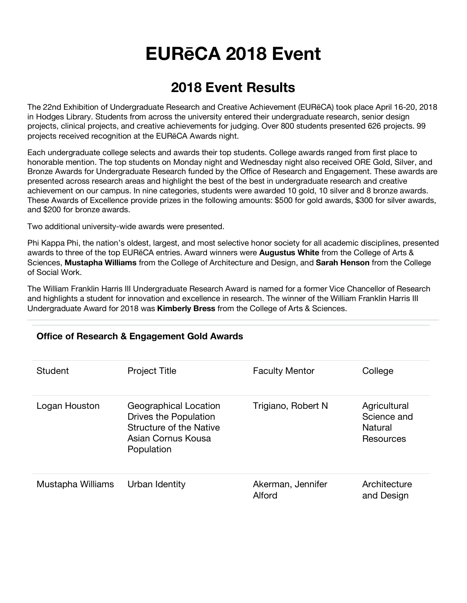# **EURēCA 2018 Event**

# **2018 Event Results**

The 22nd Exhibition of Undergraduate Research and Creative Achievement (EURēCA) took place April 16-20, 2018 in Hodges Library. Students from across the university entered their undergraduate research, senior design projects, clinical projects, and creative achievements for judging. Over 800 students presented 626 projects. 99 projects received recognition at the EURēCA Awards night.

Each undergraduate college selects and awards their top students. College awards ranged from first place to honorable mention. The top students on Monday night and Wednesday night also received ORE Gold, Silver, and Bronze Awards for Undergraduate Research funded by the Office of Research and Engagement. These awards are presented across research areas and highlight the best of the best in undergraduate research and creative achievement on our campus. In nine categories, students were awarded 10 gold, 10 silver and 8 bronze awards. These Awards of Excellence provide prizes in the following amounts: \$500 for gold awards, \$300 for silver awards, and \$200 for bronze awards.

Two additional university-wide awards were presented.

Phi Kappa Phi, the nation's oldest, largest, and most selective honor society for all academic disciplines, presented awards to three of the top EURēCA entries. Award winners were **Augustus White** from the College of Arts & Sciences, **Mustapha Williams** from the College of Architecture and Design, and **Sarah Henson** from the College of Social Work.

The William Franklin Harris III Undergraduate Research Award is named for a former Vice Chancellor of Research and highlights a student for innovation and excellence in research. The winner of the William Franklin Harris III Undergraduate Award for 2018 was **Kimberly Bress** from the College of Arts & Sciences.

| Student           | <b>Project Title</b>                                                                                                 | <b>Faculty Mentor</b>       | College                                             |
|-------------------|----------------------------------------------------------------------------------------------------------------------|-----------------------------|-----------------------------------------------------|
| Logan Houston     | Geographical Location<br>Drives the Population<br><b>Structure of the Native</b><br>Asian Cornus Kousa<br>Population | Trigiano, Robert N          | Agricultural<br>Science and<br>Natural<br>Resources |
| Mustapha Williams | Urban Identity                                                                                                       | Akerman, Jennifer<br>Alford | Architecture<br>and Design                          |

#### **Office of Research & Engagement Gold Awards**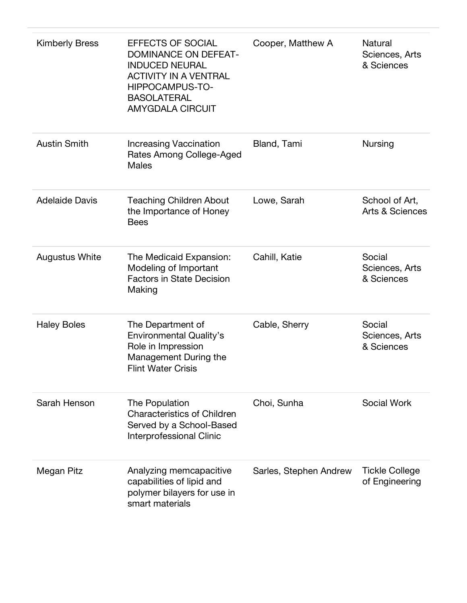| <b>Kimberly Bress</b> | <b>EFFECTS OF SOCIAL</b><br><b>DOMINANCE ON DEFEAT-</b><br><b>INDUCED NEURAL</b><br><b>ACTIVITY IN A VENTRAL</b><br>HIPPOCAMPUS-TO-<br><b>BASOLATERAL</b><br><b>AMYGDALA CIRCUIT</b> | Cooper, Matthew A      | <b>Natural</b><br>Sciences, Arts<br>& Sciences |
|-----------------------|--------------------------------------------------------------------------------------------------------------------------------------------------------------------------------------|------------------------|------------------------------------------------|
| <b>Austin Smith</b>   | <b>Increasing Vaccination</b><br>Rates Among College-Aged<br><b>Males</b>                                                                                                            | Bland, Tami            | <b>Nursing</b>                                 |
| <b>Adelaide Davis</b> | <b>Teaching Children About</b><br>the Importance of Honey<br><b>Bees</b>                                                                                                             | Lowe, Sarah            | School of Art,<br>Arts & Sciences              |
| <b>Augustus White</b> | The Medicaid Expansion:<br>Modeling of Important<br><b>Factors in State Decision</b><br>Making                                                                                       | Cahill, Katie          | Social<br>Sciences, Arts<br>& Sciences         |
| <b>Haley Boles</b>    | The Department of<br><b>Environmental Quality's</b><br>Role in Impression<br>Management During the<br><b>Flint Water Crisis</b>                                                      | Cable, Sherry          | Social<br>Sciences, Arts<br>& Sciences         |
| Sarah Henson          | The Population<br><b>Characteristics of Children</b><br>Served by a School-Based<br><b>Interprofessional Clinic</b>                                                                  | Choi, Sunha            | <b>Social Work</b>                             |
| Megan Pitz            | Analyzing memcapacitive<br>capabilities of lipid and<br>polymer bilayers for use in<br>smart materials                                                                               | Sarles, Stephen Andrew | <b>Tickle College</b><br>of Engineering        |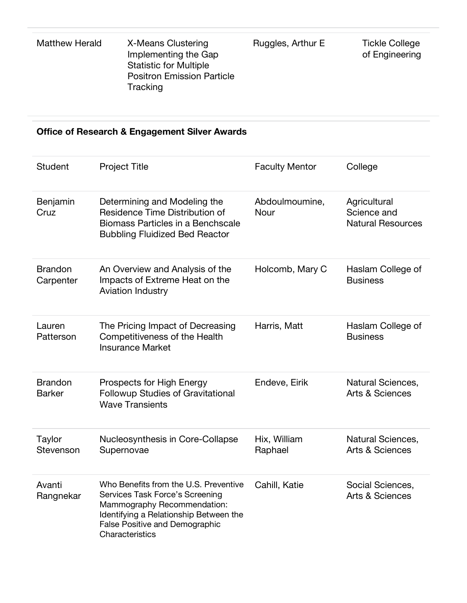| Matthew Herald | X-Means Clustering<br>Implementing the Gap<br><b>Statistic for Multiple</b><br><b>Positron Emission Particle</b><br>Tracking | Ruggles, Arthur E | <b>Tickle College</b><br>of Engineering |
|----------------|------------------------------------------------------------------------------------------------------------------------------|-------------------|-----------------------------------------|
|----------------|------------------------------------------------------------------------------------------------------------------------------|-------------------|-----------------------------------------|

#### **Office of Research & Engagement Silver Awards**

| <b>Student</b>                  | <b>Project Title</b>                                                                                                                                                                                   | <b>Faculty Mentor</b>   | College                                                 |
|---------------------------------|--------------------------------------------------------------------------------------------------------------------------------------------------------------------------------------------------------|-------------------------|---------------------------------------------------------|
| Benjamin<br>Cruz                | Determining and Modeling the<br>Residence Time Distribution of<br>Biomass Particles in a Benchscale<br><b>Bubbling Fluidized Bed Reactor</b>                                                           | Abdoulmoumine,<br>Nour  | Agricultural<br>Science and<br><b>Natural Resources</b> |
| <b>Brandon</b><br>Carpenter     | An Overview and Analysis of the<br>Impacts of Extreme Heat on the<br><b>Aviation Industry</b>                                                                                                          | Holcomb, Mary C         | Haslam College of<br><b>Business</b>                    |
| Lauren<br>Patterson             | The Pricing Impact of Decreasing<br>Competitiveness of the Health<br><b>Insurance Market</b>                                                                                                           | Harris, Matt            | Haslam College of<br><b>Business</b>                    |
| <b>Brandon</b><br><b>Barker</b> | Prospects for High Energy<br><b>Followup Studies of Gravitational</b><br><b>Wave Transients</b>                                                                                                        | Endeve, Eirik           | Natural Sciences,<br><b>Arts &amp; Sciences</b>         |
| Taylor<br>Stevenson             | Nucleosynthesis in Core-Collapse<br>Supernovae                                                                                                                                                         | Hix, William<br>Raphael | Natural Sciences,<br><b>Arts &amp; Sciences</b>         |
| Avanti<br>Rangnekar             | Who Benefits from the U.S. Preventive<br>Services Task Force's Screening<br>Mammography Recommendation:<br>Identifying a Relationship Between the<br>False Positive and Demographic<br>Characteristics | Cahill, Katie           | Social Sciences,<br><b>Arts &amp; Sciences</b>          |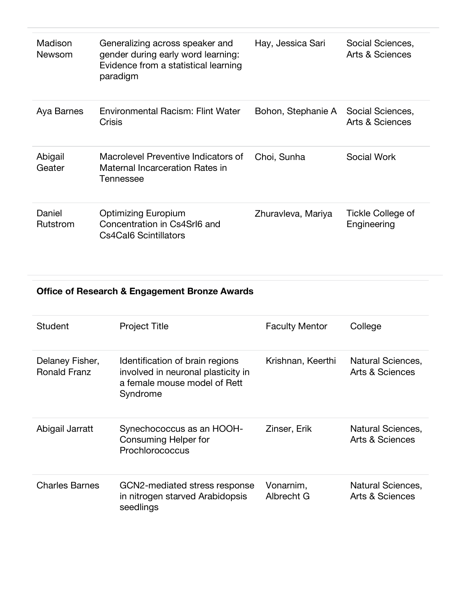| Madison<br>Newsom  | Generalizing across speaker and<br>gender during early word learning:<br>Evidence from a statistical learning<br>paradigm | Hay, Jessica Sari  | Social Sciences,<br><b>Arts &amp; Sciences</b> |
|--------------------|---------------------------------------------------------------------------------------------------------------------------|--------------------|------------------------------------------------|
| Aya Barnes         | <b>Environmental Racism: Flint Water</b><br>Crisis                                                                        | Bohon, Stephanie A | Social Sciences,<br>Arts & Sciences            |
| Abigail<br>Geater  | Macrolevel Preventive Indicators of<br>Maternal Incarceration Rates in<br>Tennessee                                       | Choi, Sunha        | Social Work                                    |
| Daniel<br>Rutstrom | Optimizing Europium<br>Concentration in Cs4Srl6 and<br>Cs4Cal6 Scintillators                                              | Zhuravleva, Mariya | Tickle College of<br>Engineering               |

#### **Office of Research & Engagement Bronze Awards**

| Student                                | <b>Project Title</b>                                                                                              | <b>Faculty Mentor</b>   | College                                         |
|----------------------------------------|-------------------------------------------------------------------------------------------------------------------|-------------------------|-------------------------------------------------|
| Delaney Fisher,<br><b>Ronald Franz</b> | Identification of brain regions<br>involved in neuronal plasticity in<br>a female mouse model of Rett<br>Syndrome | Krishnan, Keerthi       | Natural Sciences,<br>Arts & Sciences            |
| Abigail Jarratt                        | Synechococcus as an HOOH-<br><b>Consuming Helper for</b><br>Prochlorococcus                                       | Zinser, Erik            | Natural Sciences,<br>Arts & Sciences            |
| <b>Charles Barnes</b>                  | GCN2-mediated stress response<br>in nitrogen starved Arabidopsis<br>seedlings                                     | Vonarnim,<br>Albrecht G | Natural Sciences,<br><b>Arts &amp; Sciences</b> |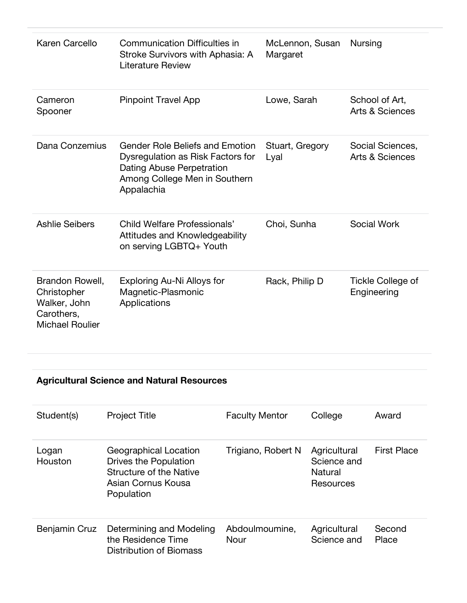| Karen Carcello                                                                         | <b>Communication Difficulties in</b><br>Stroke Survivors with Aphasia: A<br>Literature Review                                                           | McLennon, Susan<br>Margaret | <b>Nursing</b>                                 |
|----------------------------------------------------------------------------------------|---------------------------------------------------------------------------------------------------------------------------------------------------------|-----------------------------|------------------------------------------------|
| Cameron<br>Spooner                                                                     | <b>Pinpoint Travel App</b>                                                                                                                              | Lowe, Sarah                 | School of Art,<br><b>Arts &amp; Sciences</b>   |
| Dana Conzemius                                                                         | <b>Gender Role Beliefs and Emotion</b><br>Dysregulation as Risk Factors for<br>Dating Abuse Perpetration<br>Among College Men in Southern<br>Appalachia | Stuart, Gregory<br>Lyal     | Social Sciences,<br><b>Arts &amp; Sciences</b> |
| <b>Ashlie Seibers</b>                                                                  | Child Welfare Professionals'<br>Attitudes and Knowledgeability<br>on serving LGBTQ+ Youth                                                               | Choi, Sunha                 | Social Work                                    |
| Brandon Rowell,<br>Christopher<br>Walker, John<br>Carothers,<br><b>Michael Roulier</b> | <b>Exploring Au-Ni Alloys for</b><br>Magnetic-Plasmonic<br>Applications                                                                                 | Rack, Philip D              | <b>Tickle College of</b><br>Engineering        |

#### **Agricultural Science and Natural Resources**

| Student(s)       | <b>Project Title</b>                                                                                                 | <b>Faculty Mentor</b>  | College                                             | Award              |
|------------------|----------------------------------------------------------------------------------------------------------------------|------------------------|-----------------------------------------------------|--------------------|
| Logan<br>Houston | Geographical Location<br>Drives the Population<br><b>Structure of the Native</b><br>Asian Cornus Kousa<br>Population | Trigiano, Robert N     | Agricultural<br>Science and<br>Natural<br>Resources | <b>First Place</b> |
| Benjamin Cruz    | Determining and Modeling<br>the Residence Time<br><b>Distribution of Biomass</b>                                     | Abdoulmoumine,<br>Nour | Agricultural<br>Science and                         | Second<br>Place    |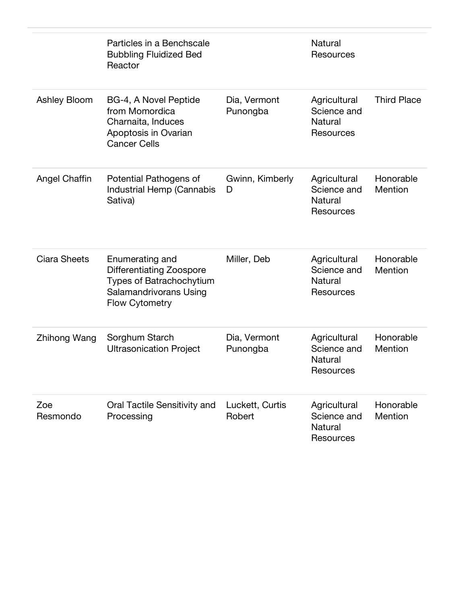|                      | Particles in a Benchscale<br><b>Bubbling Fluidized Bed</b><br>Reactor                                                             |                           | Natural<br><b>Resources</b>                                |                      |
|----------------------|-----------------------------------------------------------------------------------------------------------------------------------|---------------------------|------------------------------------------------------------|----------------------|
| Ashley Bloom         | BG-4, A Novel Peptide<br>from Momordica<br>Charnaita, Induces<br>Apoptosis in Ovarian<br><b>Cancer Cells</b>                      | Dia, Vermont<br>Punongba  | Agricultural<br>Science and<br>Natural<br>Resources        | <b>Third Place</b>   |
| <b>Angel Chaffin</b> | Potential Pathogens of<br>Industrial Hemp (Cannabis<br>Sativa)                                                                    | Gwinn, Kimberly<br>D      | Agricultural<br>Science and<br>Natural<br><b>Resources</b> | Honorable<br>Mention |
| Ciara Sheets         | Enumerating and<br><b>Differentiating Zoospore</b><br>Types of Batrachochytium<br>Salamandrivorans Using<br><b>Flow Cytometry</b> | Miller, Deb               | Agricultural<br>Science and<br>Natural<br><b>Resources</b> | Honorable<br>Mention |
| Zhihong Wang         | Sorghum Starch<br><b>Ultrasonication Project</b>                                                                                  | Dia, Vermont<br>Punongba  | Agricultural<br>Science and<br><b>Natural</b><br>Resources | Honorable<br>Mention |
| Zoe<br>Resmondo      | Oral Tactile Sensitivity and<br>Processing                                                                                        | Luckett, Curtis<br>Robert | Agricultural<br>Science and<br><b>Natural</b><br>Resources | Honorable<br>Mention |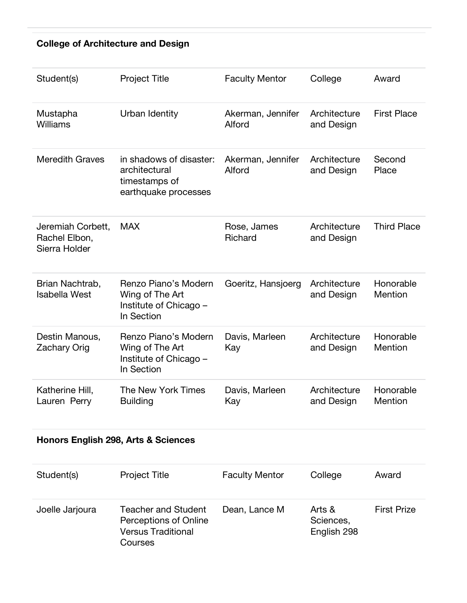#### **College of Architecture and Design**

| Student(s)                                          | <b>Project Title</b>                                                              | <b>Faculty Mentor</b>       | College                    | Award                |
|-----------------------------------------------------|-----------------------------------------------------------------------------------|-----------------------------|----------------------------|----------------------|
| Mustapha<br>Williams                                | Urban Identity                                                                    | Akerman, Jennifer<br>Alford | Architecture<br>and Design | <b>First Place</b>   |
| <b>Meredith Graves</b>                              | in shadows of disaster:<br>architectural<br>timestamps of<br>earthquake processes | Akerman, Jennifer<br>Alford | Architecture<br>and Design | Second<br>Place      |
| Jeremiah Corbett,<br>Rachel Elbon,<br>Sierra Holder | <b>MAX</b>                                                                        | Rose, James<br>Richard      | Architecture<br>and Design | <b>Third Place</b>   |
| Brian Nachtrab,<br><b>Isabella West</b>             | Renzo Piano's Modern<br>Wing of The Art<br>Institute of Chicago -<br>In Section   | Goeritz, Hansjoerg          | Architecture<br>and Design | Honorable<br>Mention |
| Destin Manous,<br><b>Zachary Orig</b>               | Renzo Piano's Modern<br>Wing of The Art<br>Institute of Chicago -<br>In Section   | Davis, Marleen<br>Kay       | Architecture<br>and Design | Honorable<br>Mention |
| Katherine Hill,<br>Lauren Perry                     | The New York Times<br><b>Building</b>                                             | Davis, Marleen<br>Kay       | Architecture<br>and Design | Honorable<br>Mention |

#### **Honors English 298, Arts & Sciences**

| Student(s)      | <b>Project Title</b>                                                                 | <b>Faculty Mentor</b> | College                            | Award              |
|-----------------|--------------------------------------------------------------------------------------|-----------------------|------------------------------------|--------------------|
| Joelle Jarjoura | Teacher and Student<br>Perceptions of Online<br><b>Versus Traditional</b><br>Courses | Dean, Lance M         | Arts &<br>Sciences,<br>English 298 | <b>First Prize</b> |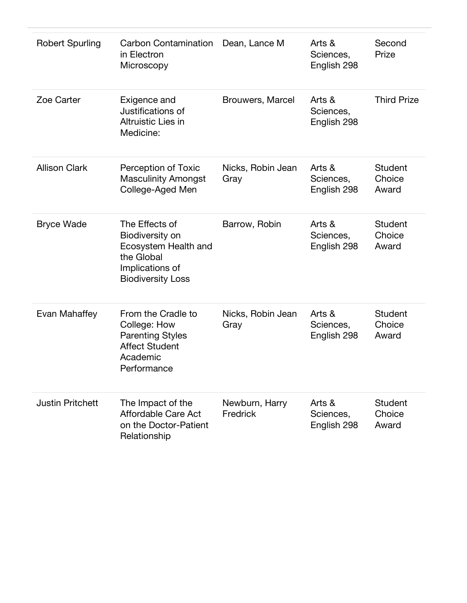| <b>Robert Spurling</b>  | Carbon Contamination<br>in Electron<br>Microscopy                                                                      | Dean, Lance M              | Arts &<br>Sciences,<br>English 298 | Second<br>Prize                   |
|-------------------------|------------------------------------------------------------------------------------------------------------------------|----------------------------|------------------------------------|-----------------------------------|
| Zoe Carter              | Exigence and<br>Justifications of<br><b>Altruistic Lies in</b><br>Medicine:                                            | Brouwers, Marcel           | Arts &<br>Sciences,<br>English 298 | <b>Third Prize</b>                |
| <b>Allison Clark</b>    | Perception of Toxic<br><b>Masculinity Amongst</b><br>College-Aged Men                                                  | Nicks, Robin Jean<br>Gray  | Arts &<br>Sciences,<br>English 298 | <b>Student</b><br>Choice<br>Award |
| <b>Bryce Wade</b>       | The Effects of<br>Biodiversity on<br>Ecosystem Health and<br>the Global<br>Implications of<br><b>Biodiversity Loss</b> | Barrow, Robin              | Arts &<br>Sciences,<br>English 298 | <b>Student</b><br>Choice<br>Award |
| Evan Mahaffey           | From the Cradle to<br>College: How<br><b>Parenting Styles</b><br><b>Affect Student</b><br>Academic<br>Performance      | Nicks, Robin Jean<br>Gray  | Arts &<br>Sciences,<br>English 298 | <b>Student</b><br>Choice<br>Award |
| <b>Justin Pritchett</b> | The Impact of the<br>Affordable Care Act<br>on the Doctor-Patient<br>Relationship                                      | Newburn, Harry<br>Fredrick | Arts &<br>Sciences,<br>English 298 | <b>Student</b><br>Choice<br>Award |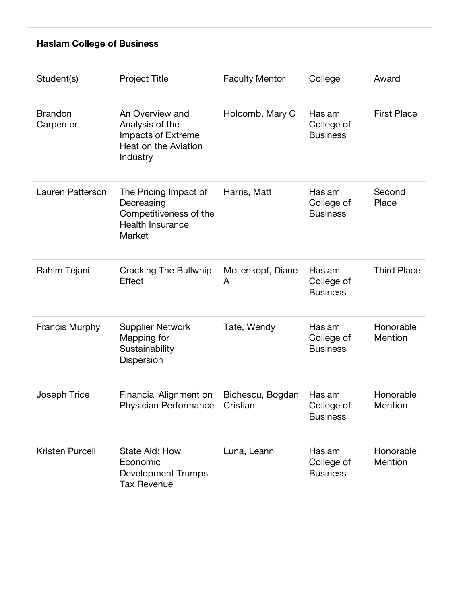# **Haslam College of Business**

| Student(s)                  | <b>Project Title</b>                                                                                | <b>Faculty Mentor</b>        | College                                 | Award                |
|-----------------------------|-----------------------------------------------------------------------------------------------------|------------------------------|-----------------------------------------|----------------------|
| <b>Brandon</b><br>Carpenter | An Overview and<br>Analysis of the<br><b>Impacts of Extreme</b><br>Heat on the Aviation<br>Industry | Holcomb, Mary C              | Haslam<br>College of<br><b>Business</b> | <b>First Place</b>   |
| Lauren Patterson            | The Pricing Impact of<br>Decreasing<br>Competitiveness of the<br><b>Health Insurance</b><br>Market  | Harris, Matt                 | Haslam<br>College of<br><b>Business</b> | Second<br>Place      |
| Rahim Tejani                | Cracking The Bullwhip<br>Effect                                                                     | Mollenkopf, Diane<br>A       | Haslam<br>College of<br><b>Business</b> | <b>Third Place</b>   |
| <b>Francis Murphy</b>       | <b>Supplier Network</b><br>Mapping for<br>Sustainability<br>Dispersion                              | Tate, Wendy                  | Haslam<br>College of<br><b>Business</b> | Honorable<br>Mention |
| Joseph Trice                | Financial Alignment on<br>Physician Performance                                                     | Bichescu, Bogdan<br>Cristian | Haslam<br>College of<br><b>Business</b> | Honorable<br>Mention |
| <b>Kristen Purcell</b>      | State Aid: How<br>Economic<br><b>Development Trumps</b><br><b>Tax Revenue</b>                       | Luna, Leann                  | Haslam<br>College of<br><b>Business</b> | Honorable<br>Mention |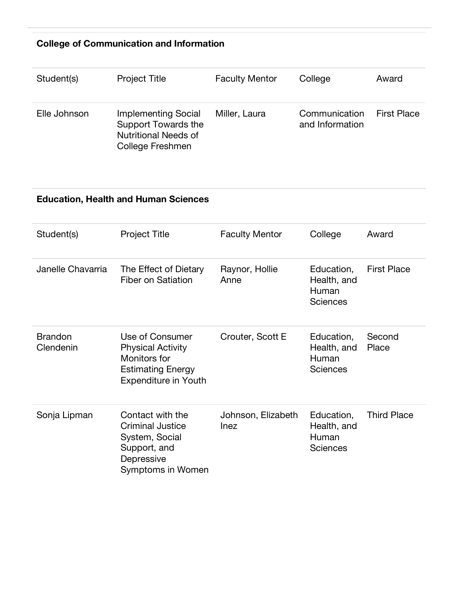#### **College of Communication and Information**

| Student(s)   | <b>Project Title</b>                                                                                        | <b>Faculty Mentor</b> | College                          | Award              |
|--------------|-------------------------------------------------------------------------------------------------------------|-----------------------|----------------------------------|--------------------|
| Elle Johnson | <b>Implementing Social</b><br><b>Support Towards the</b><br><b>Nutritional Needs of</b><br>College Freshmen | Miller, Laura         | Communication<br>and Information | <b>First Place</b> |

#### **Education, Health and Human Sciences**

| Student(s)                  | <b>Project Title</b>                                                                                                   | <b>Faculty Mentor</b>             | College                                               | Award              |
|-----------------------------|------------------------------------------------------------------------------------------------------------------------|-----------------------------------|-------------------------------------------------------|--------------------|
| Janelle Chavarria           | The Effect of Dietary<br>Fiber on Satiation                                                                            | Raynor, Hollie<br>Anne            | Education,<br>Health, and<br>Human<br><b>Sciences</b> | <b>First Place</b> |
| <b>Brandon</b><br>Clendenin | Use of Consumer<br><b>Physical Activity</b><br>Monitors for<br><b>Estimating Energy</b><br><b>Expenditure in Youth</b> | Crouter, Scott E                  | Education,<br>Health, and<br>Human<br><b>Sciences</b> | Second<br>Place    |
| Sonja Lipman                | Contact with the<br><b>Criminal Justice</b><br>System, Social<br>Support, and<br>Depressive<br>Symptoms in Women       | Johnson, Elizabeth<br><b>Inez</b> | Education,<br>Health, and<br>Human<br><b>Sciences</b> | <b>Third Place</b> |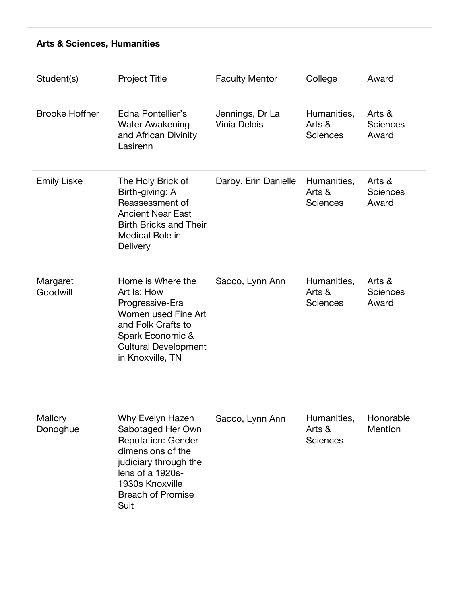#### **Arts & Sciences, Humanities**

| Student(s)            | <b>Project Title</b>                                                                                                                                                                        | <b>Faculty Mentor</b>                  | College                                  | Award                              |
|-----------------------|---------------------------------------------------------------------------------------------------------------------------------------------------------------------------------------------|----------------------------------------|------------------------------------------|------------------------------------|
| <b>Brooke Hoffner</b> | Edna Pontellier's<br><b>Water Awakening</b><br>and African Divinity<br>Lasirenn                                                                                                             | Jennings, Dr La<br><b>Vinia Delois</b> | Humanities,<br>Arts &<br><b>Sciences</b> | Arts &<br><b>Sciences</b><br>Award |
| <b>Emily Liske</b>    | The Holy Brick of<br>Birth-giving: A<br>Reassessment of<br><b>Ancient Near East</b><br><b>Birth Bricks and Their</b><br>Medical Role in<br>Delivery                                         | Darby, Erin Danielle                   | Humanities,<br>Arts &<br><b>Sciences</b> | Arts &<br><b>Sciences</b><br>Award |
| Margaret<br>Goodwill  | Home is Where the<br>Art Is: How<br>Progressive-Era<br>Women used Fine Art<br>and Folk Crafts to<br>Spark Economic &<br><b>Cultural Development</b><br>in Knoxville, TN                     | Sacco, Lynn Ann                        | Humanities,<br>Arts &<br><b>Sciences</b> | Arts &<br><b>Sciences</b><br>Award |
| Mallory<br>Donoghue   | Why Evelyn Hazen<br>Sabotaged Her Own<br><b>Reputation: Gender</b><br>dimensions of the<br>judiciary through the<br>lens of a 1920s-<br>1930s Knoxville<br><b>Breach of Promise</b><br>Suit | Sacco, Lynn Ann                        | Humanities,<br>Arts &<br><b>Sciences</b> | Honorable<br>Mention               |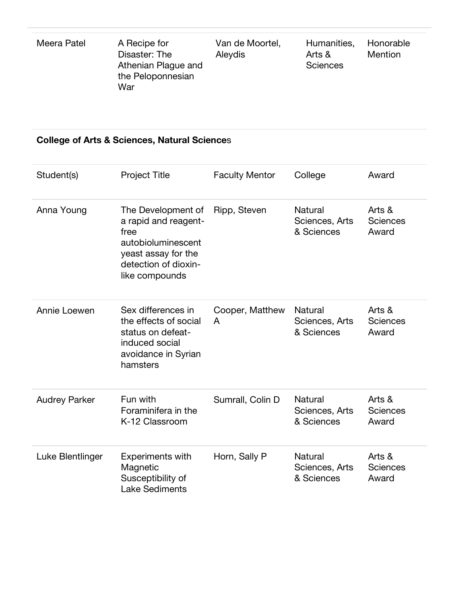| Meera Patel | A Recipe for<br>Disaster: The<br>Athenian Plague and<br>the Peloponnesian<br>War | Van de Moortel,<br>Aleydis | Humanities,<br>Arts &<br><b>Sciences</b> | Honorable<br><b>Mention</b> |
|-------------|----------------------------------------------------------------------------------|----------------------------|------------------------------------------|-----------------------------|
|-------------|----------------------------------------------------------------------------------|----------------------------|------------------------------------------|-----------------------------|

#### **College of Arts & Sciences, Natural Science**s

| Student(s)           | <b>Project Title</b>                                                                                                                      | <b>Faculty Mentor</b> | College                                        | Award                              |
|----------------------|-------------------------------------------------------------------------------------------------------------------------------------------|-----------------------|------------------------------------------------|------------------------------------|
| Anna Young           | The Development of<br>a rapid and reagent-<br>free<br>autobioluminescent<br>yeast assay for the<br>detection of dioxin-<br>like compounds | Ripp, Steven          | Natural<br>Sciences, Arts<br>& Sciences        | Arts &<br><b>Sciences</b><br>Award |
| Annie Loewen         | Sex differences in<br>the effects of social<br>status on defeat-<br>induced social<br>avoidance in Syrian<br>hamsters                     | Cooper, Matthew<br>A  | Natural<br>Sciences, Arts<br>& Sciences        | Arts &<br><b>Sciences</b><br>Award |
| <b>Audrey Parker</b> | Fun with<br>Foraminifera in the<br>K-12 Classroom                                                                                         | Sumrall, Colin D      | <b>Natural</b><br>Sciences, Arts<br>& Sciences | Arts &<br><b>Sciences</b><br>Award |
| Luke Blentlinger     | <b>Experiments with</b><br>Magnetic<br>Susceptibility of<br><b>Lake Sediments</b>                                                         | Horn, Sally P         | Natural<br>Sciences, Arts<br>& Sciences        | Arts &<br><b>Sciences</b><br>Award |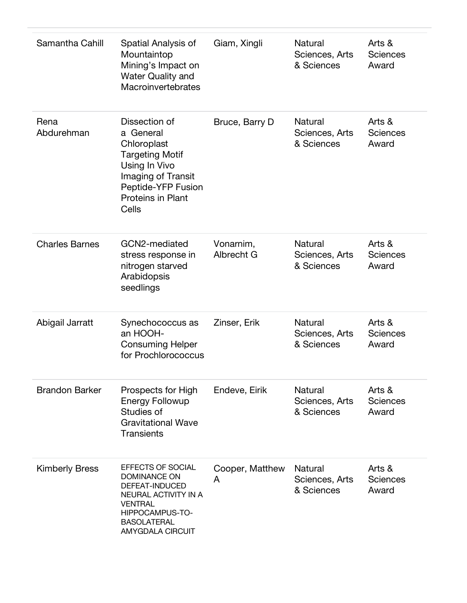| Samantha Cahill       | Spatial Analysis of<br>Mountaintop<br>Mining's Impact on<br><b>Water Quality and</b><br>Macroinvertebrates                                                               | Giam, Xingli            | Natural<br>Sciences, Arts<br>& Sciences        | Arts &<br><b>Sciences</b><br>Award |
|-----------------------|--------------------------------------------------------------------------------------------------------------------------------------------------------------------------|-------------------------|------------------------------------------------|------------------------------------|
| Rena<br>Abdurehman    | Dissection of<br>a General<br>Chloroplast<br><b>Targeting Motif</b><br>Using In Vivo<br>Imaging of Transit<br>Peptide-YFP Fusion<br>Proteins in Plant<br>Cells           | Bruce, Barry D          | Natural<br>Sciences, Arts<br>& Sciences        | Arts &<br><b>Sciences</b><br>Award |
| <b>Charles Barnes</b> | GCN2-mediated<br>stress response in<br>nitrogen starved<br>Arabidopsis<br>seedlings                                                                                      | Vonarnim,<br>Albrecht G | Natural<br>Sciences, Arts<br>& Sciences        | Arts &<br><b>Sciences</b><br>Award |
| Abigail Jarratt       | Synechococcus as<br>an HOOH-<br><b>Consuming Helper</b><br>for Prochlorococcus                                                                                           | Zinser, Erik            | Natural<br>Sciences, Arts<br>& Sciences        | Arts &<br><b>Sciences</b><br>Award |
| <b>Brandon Barker</b> | Prospects for High<br><b>Energy Followup</b><br>Studies of<br><b>Gravitational Wave</b><br><b>Transients</b>                                                             | Endeve, Eirik           | Natural<br>Sciences, Arts<br>& Sciences        | Arts &<br><b>Sciences</b><br>Award |
| <b>Kimberly Bress</b> | EFFECTS OF SOCIAL<br><b>DOMINANCE ON</b><br>DEFEAT-INDUCED<br>NEURAL ACTIVITY IN A<br><b>VENTRAL</b><br>HIPPOCAMPUS-TO-<br><b>BASOLATERAL</b><br><b>AMYGDALA CIRCUIT</b> | Cooper, Matthew<br>A    | <b>Natural</b><br>Sciences, Arts<br>& Sciences | Arts &<br><b>Sciences</b><br>Award |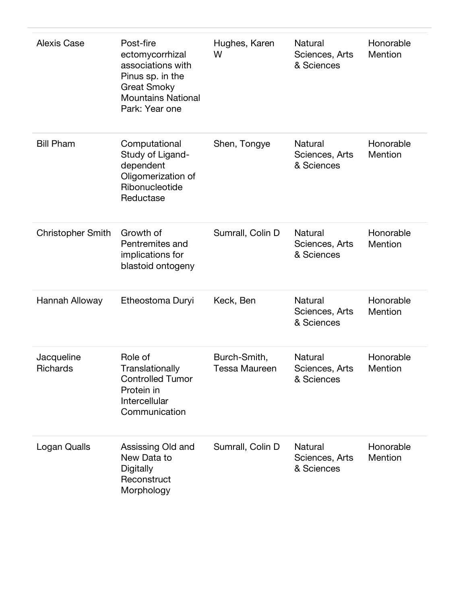| <b>Alexis Case</b>            | Post-fire<br>ectomycorrhizal<br>associations with<br>Pinus sp. in the<br><b>Great Smoky</b><br><b>Mountains National</b><br>Park: Year one | Hughes, Karen<br>W                   | Natural<br>Sciences, Arts<br>& Sciences        | Honorable<br>Mention        |
|-------------------------------|--------------------------------------------------------------------------------------------------------------------------------------------|--------------------------------------|------------------------------------------------|-----------------------------|
| <b>Bill Pham</b>              | Computational<br>Study of Ligand-<br>dependent<br>Oligomerization of<br>Ribonucleotide<br>Reductase                                        | Shen, Tongye                         | Natural<br>Sciences, Arts<br>& Sciences        | Honorable<br>Mention        |
| <b>Christopher Smith</b>      | Growth of<br>Pentremites and<br>implications for<br>blastoid ontogeny                                                                      | Sumrall, Colin D                     | <b>Natural</b><br>Sciences, Arts<br>& Sciences | Honorable<br>Mention        |
| Hannah Alloway                | Etheostoma Duryi                                                                                                                           | Keck, Ben                            | Natural<br>Sciences, Arts<br>& Sciences        | Honorable<br>Mention        |
| Jacqueline<br><b>Richards</b> | Role of<br>Translationally<br><b>Controlled Tumor</b><br>Protein in<br>Intercellular<br>Communication                                      | Burch-Smith,<br><b>Tessa Maureen</b> | <b>Natural</b><br>Sciences, Arts<br>& Sciences | Honorable<br>Mention        |
| Logan Qualls                  | Assissing Old and<br>New Data to<br><b>Digitally</b><br>Reconstruct<br>Morphology                                                          | Sumrall, Colin D                     | Natural<br>Sciences, Arts<br>& Sciences        | Honorable<br><b>Mention</b> |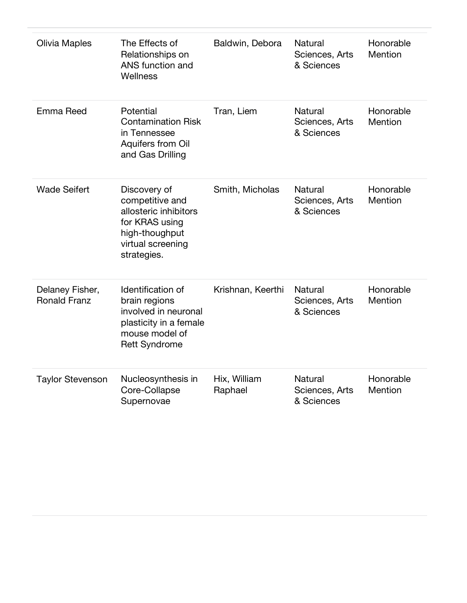| Olivia Maples                          | The Effects of<br>Relationships on<br>ANS function and<br>Wellness                                                               | Baldwin, Debora         | <b>Natural</b><br>Sciences, Arts<br>& Sciences | Honorable<br>Mention |
|----------------------------------------|----------------------------------------------------------------------------------------------------------------------------------|-------------------------|------------------------------------------------|----------------------|
| Emma Reed                              | Potential<br><b>Contamination Risk</b><br>in Tennessee<br>Aquifers from Oil<br>and Gas Drilling                                  | Tran, Liem              | Natural<br>Sciences, Arts<br>& Sciences        | Honorable<br>Mention |
| <b>Wade Seifert</b>                    | Discovery of<br>competitive and<br>allosteric inhibitors<br>for KRAS using<br>high-thoughput<br>virtual screening<br>strategies. | Smith, Micholas         | Natural<br>Sciences, Arts<br>& Sciences        | Honorable<br>Mention |
| Delaney Fisher,<br><b>Ronald Franz</b> | Identification of<br>brain regions<br>involved in neuronal<br>plasticity in a female<br>mouse model of<br><b>Rett Syndrome</b>   | Krishnan, Keerthi       | <b>Natural</b><br>Sciences, Arts<br>& Sciences | Honorable<br>Mention |
| <b>Taylor Stevenson</b>                | Nucleosynthesis in<br>Core-Collapse<br>Supernovae                                                                                | Hix, William<br>Raphael | <b>Natural</b><br>Sciences, Arts<br>& Sciences | Honorable<br>Mention |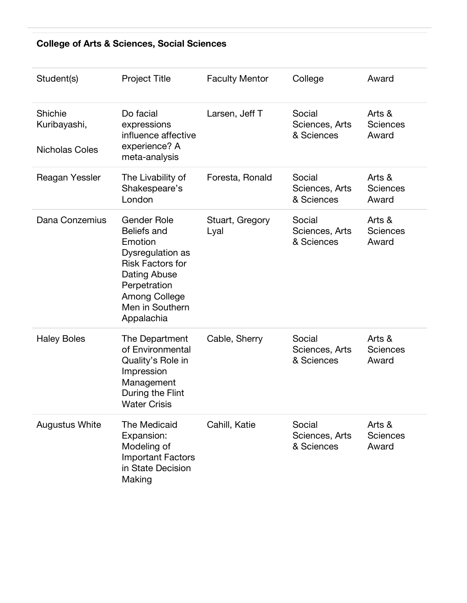#### **College of Arts & Sciences, Social Sciences**

| Student(s)                                       | <b>Project Title</b>                                                                                                                                                                        | <b>Faculty Mentor</b>   | College                                | Award                              |
|--------------------------------------------------|---------------------------------------------------------------------------------------------------------------------------------------------------------------------------------------------|-------------------------|----------------------------------------|------------------------------------|
| Shichie<br>Kuribayashi,<br><b>Nicholas Coles</b> | Do facial<br>expressions<br>influence affective<br>experience? A<br>meta-analysis                                                                                                           | Larsen, Jeff T          | Social<br>Sciences, Arts<br>& Sciences | Arts &<br><b>Sciences</b><br>Award |
| Reagan Yessler                                   | The Livability of<br>Shakespeare's<br>London                                                                                                                                                | Foresta, Ronald         | Social<br>Sciences, Arts<br>& Sciences | Arts &<br><b>Sciences</b><br>Award |
| Dana Conzemius                                   | <b>Gender Role</b><br><b>Beliefs and</b><br>Emotion<br>Dysregulation as<br><b>Risk Factors for</b><br>Dating Abuse<br>Perpetration<br><b>Among College</b><br>Men in Southern<br>Appalachia | Stuart, Gregory<br>Lyal | Social<br>Sciences, Arts<br>& Sciences | Arts &<br><b>Sciences</b><br>Award |
| <b>Haley Boles</b>                               | The Department<br>of Environmental<br>Quality's Role in<br>Impression<br>Management<br>During the Flint<br><b>Water Crisis</b>                                                              | Cable, Sherry           | Social<br>Sciences, Arts<br>& Sciences | Arts &<br><b>Sciences</b><br>Award |
| <b>Augustus White</b>                            | The Medicaid<br>Expansion:<br>Modeling of<br><b>Important Factors</b><br>in State Decision<br>Making                                                                                        | Cahill, Katie           | Social<br>Sciences, Arts<br>& Sciences | Arts &<br><b>Sciences</b><br>Award |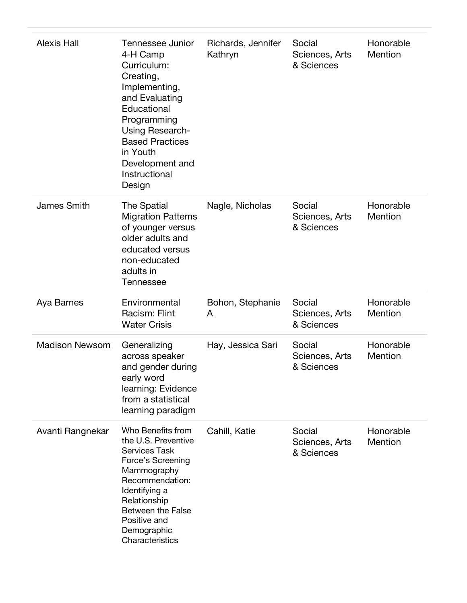| <b>Alexis Hall</b>    | Tennessee Junior<br>4-H Camp<br>Curriculum:<br>Creating,<br>Implementing,<br>and Evaluating<br>Educational<br>Programming<br>Using Research-<br><b>Based Practices</b><br>in Youth<br>Development and<br>Instructional<br>Design | Richards, Jennifer<br>Kathryn | Social<br>Sciences, Arts<br>& Sciences | Honorable<br>Mention |
|-----------------------|----------------------------------------------------------------------------------------------------------------------------------------------------------------------------------------------------------------------------------|-------------------------------|----------------------------------------|----------------------|
| <b>James Smith</b>    | The Spatial<br><b>Migration Patterns</b><br>of younger versus<br>older adults and<br>educated versus<br>non-educated<br>adults in<br>Tennessee                                                                                   | Nagle, Nicholas               | Social<br>Sciences, Arts<br>& Sciences | Honorable<br>Mention |
| Aya Barnes            | Environmental<br>Racism: Flint<br><b>Water Crisis</b>                                                                                                                                                                            | Bohon, Stephanie<br>A         | Social<br>Sciences, Arts<br>& Sciences | Honorable<br>Mention |
| <b>Madison Newsom</b> | Generalizing<br>across speaker<br>and gender during<br>early word<br>learning: Evidence<br>from a statistical<br>learning paradigm                                                                                               | Hay, Jessica Sari             | Social<br>Sciences, Arts<br>& Sciences | Honorable<br>Mention |
| Avanti Rangnekar      | Who Benefits from<br>the U.S. Preventive<br><b>Services Task</b><br>Force's Screening<br>Mammography<br>Recommendation:<br>Identifying a<br>Relationship<br>Between the False<br>Positive and<br>Demographic<br>Characteristics  | Cahill, Katie                 | Social<br>Sciences, Arts<br>& Sciences | Honorable<br>Mention |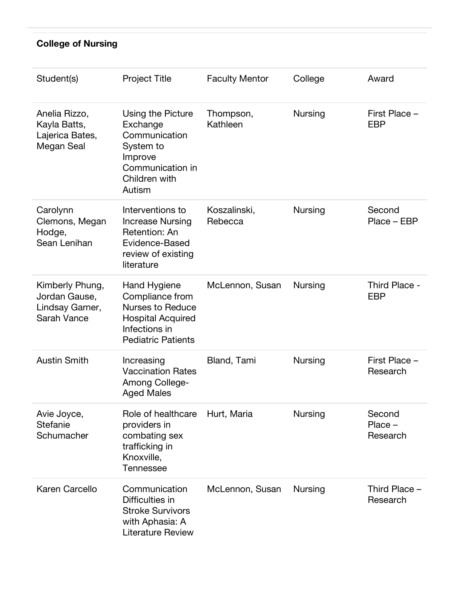#### **College of Nursing**

| Student(s)                                                         | <b>Project Title</b>                                                                                                                 | <b>Faculty Mentor</b>   | College        | Award                           |
|--------------------------------------------------------------------|--------------------------------------------------------------------------------------------------------------------------------------|-------------------------|----------------|---------------------------------|
| Anelia Rizzo,<br>Kayla Batts,<br>Lajerica Bates,<br>Megan Seal     | Using the Picture<br>Exchange<br>Communication<br>System to<br>Improve<br>Communication in<br>Children with<br>Autism                | Thompson,<br>Kathleen   | <b>Nursing</b> | First Place -<br><b>EBP</b>     |
| Carolynn<br>Clemons, Megan<br>Hodge,<br>Sean Lenihan               | Interventions to<br><b>Increase Nursing</b><br>Retention: An<br>Evidence-Based<br>review of existing<br>literature                   | Koszalinski,<br>Rebecca | <b>Nursing</b> | Second<br>Place - EBP           |
| Kimberly Phung,<br>Jordan Gause,<br>Lindsay Garner,<br>Sarah Vance | Hand Hygiene<br>Compliance from<br><b>Nurses to Reduce</b><br><b>Hospital Acquired</b><br>Infections in<br><b>Pediatric Patients</b> | McLennon, Susan         | <b>Nursing</b> | Third Place -<br><b>EBP</b>     |
| <b>Austin Smith</b>                                                | Increasing<br><b>Vaccination Rates</b><br>Among College-<br><b>Aged Males</b>                                                        | Bland, Tami             | <b>Nursing</b> | First Place -<br>Research       |
| Avie Joyce,<br><b>Stefanie</b><br>Schumacher                       | Role of healthcare<br>providers in<br>combating sex<br>trafficking in<br>Knoxville,<br><b>Tennessee</b>                              | Hurt, Maria             | <b>Nursing</b> | Second<br>$Place -$<br>Research |
| Karen Carcello                                                     | Communication<br>Difficulties in<br><b>Stroke Survivors</b><br>with Aphasia: A<br><b>Literature Review</b>                           | McLennon, Susan         | <b>Nursing</b> | Third Place -<br>Research       |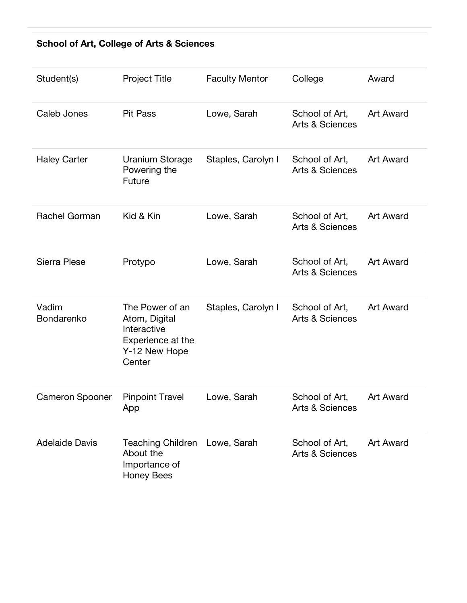#### **School of Art, College of Arts & Sciences**

| Student(s)             | <b>Project Title</b>                                                                            | <b>Faculty Mentor</b> | College                                      | Award            |
|------------------------|-------------------------------------------------------------------------------------------------|-----------------------|----------------------------------------------|------------------|
| Caleb Jones            | <b>Pit Pass</b>                                                                                 | Lowe, Sarah           | School of Art,<br><b>Arts &amp; Sciences</b> | <b>Art Award</b> |
| <b>Haley Carter</b>    | <b>Uranium Storage</b><br>Powering the<br>Future                                                | Staples, Carolyn I    | School of Art,<br><b>Arts &amp; Sciences</b> | <b>Art Award</b> |
| Rachel Gorman          | Kid & Kin                                                                                       | Lowe, Sarah           | School of Art,<br><b>Arts &amp; Sciences</b> | <b>Art Award</b> |
| Sierra Plese           | Protypo                                                                                         | Lowe, Sarah           | School of Art,<br><b>Arts &amp; Sciences</b> | <b>Art Award</b> |
| Vadim<br>Bondarenko    | The Power of an<br>Atom, Digital<br>Interactive<br>Experience at the<br>Y-12 New Hope<br>Center | Staples, Carolyn I    | School of Art,<br><b>Arts &amp; Sciences</b> | <b>Art Award</b> |
| <b>Cameron Spooner</b> | <b>Pinpoint Travel</b><br>App                                                                   | Lowe, Sarah           | School of Art,<br><b>Arts &amp; Sciences</b> | <b>Art Award</b> |
| <b>Adelaide Davis</b>  | <b>Teaching Children</b><br>About the<br>Importance of<br><b>Honey Bees</b>                     | Lowe, Sarah           | School of Art,<br><b>Arts &amp; Sciences</b> | <b>Art Award</b> |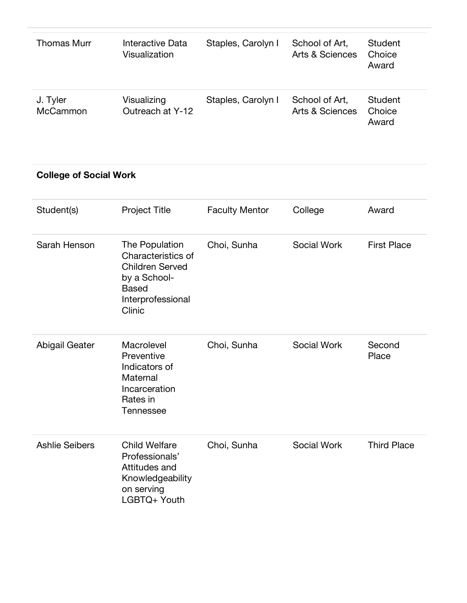| Thomas Murr          | Interactive Data<br>Visualization | Staples, Carolyn I | School of Art,<br><b>Arts &amp; Sciences</b> | Student<br>Choice<br>Award        |
|----------------------|-----------------------------------|--------------------|----------------------------------------------|-----------------------------------|
| J. Tyler<br>McCammon | Visualizing<br>Outreach at Y-12   | Staples, Carolyn I | School of Art,<br>Arts & Sciences            | <b>Student</b><br>Choice<br>Award |

#### **College of Social Work**

| Student(s)            | <b>Project Title</b>                                                                                                          | <b>Faculty Mentor</b> | College            | Award              |
|-----------------------|-------------------------------------------------------------------------------------------------------------------------------|-----------------------|--------------------|--------------------|
| Sarah Henson          | The Population<br>Characteristics of<br><b>Children Served</b><br>by a School-<br><b>Based</b><br>Interprofessional<br>Clinic | Choi, Sunha           | Social Work        | <b>First Place</b> |
| <b>Abigail Geater</b> | Macrolevel<br>Preventive<br>Indicators of<br>Maternal<br>Incarceration<br>Rates in<br><b>Tennessee</b>                        | Choi, Sunha           | <b>Social Work</b> | Second<br>Place    |
| <b>Ashlie Seibers</b> | <b>Child Welfare</b><br>Professionals'<br>Attitudes and<br>Knowledgeability<br>on serving<br>LGBTQ+ Youth                     | Choi, Sunha           | <b>Social Work</b> | <b>Third Place</b> |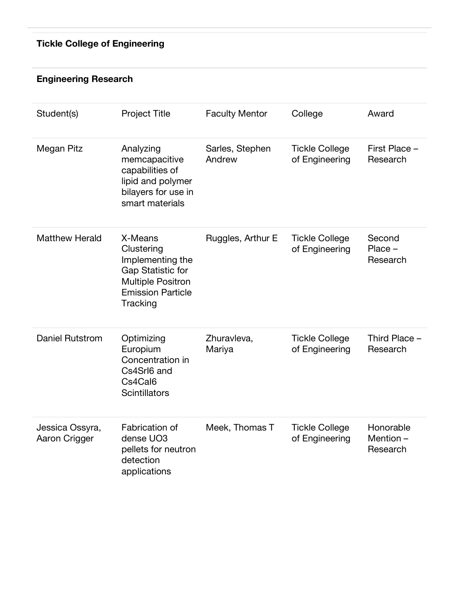# **Tickle College of Engineering**

#### **Engineering Research**

| Student(s)                       | <b>Project Title</b>                                                                                                               | <b>Faculty Mentor</b>     | College                                 | Award                             |
|----------------------------------|------------------------------------------------------------------------------------------------------------------------------------|---------------------------|-----------------------------------------|-----------------------------------|
| Megan Pitz                       | Analyzing<br>memcapacitive<br>capabilities of<br>lipid and polymer<br>bilayers for use in<br>smart materials                       | Sarles, Stephen<br>Andrew | <b>Tickle College</b><br>of Engineering | First Place -<br>Research         |
| <b>Matthew Herald</b>            | X-Means<br>Clustering<br>Implementing the<br>Gap Statistic for<br><b>Multiple Positron</b><br><b>Emission Particle</b><br>Tracking | Ruggles, Arthur E         | <b>Tickle College</b><br>of Engineering | Second<br>$Place -$<br>Research   |
| <b>Daniel Rutstrom</b>           | Optimizing<br>Europium<br>Concentration in<br>Cs4Srl6 and<br>Cs4Cal6<br><b>Scintillators</b>                                       | Zhuravleva,<br>Mariya     | <b>Tickle College</b><br>of Engineering | Third Place -<br>Research         |
| Jessica Ossyra,<br>Aaron Crigger | Fabrication of<br>dense UO3<br>pellets for neutron<br>detection<br>applications                                                    | Meek, Thomas T            | <b>Tickle College</b><br>of Engineering | Honorable<br>Mention-<br>Research |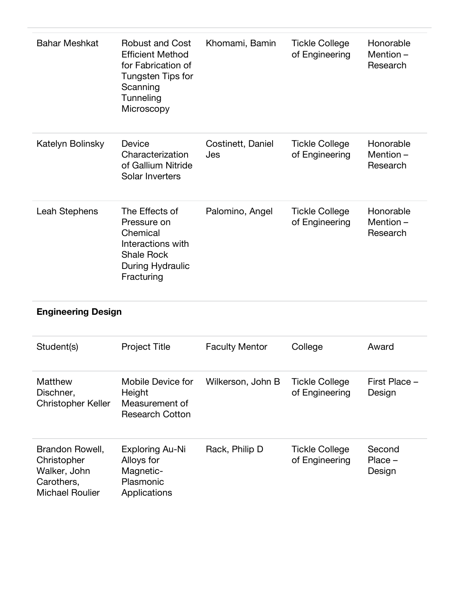| <b>Bahar Meshkat</b> | <b>Robust and Cost</b><br><b>Efficient Method</b><br>for Fabrication of<br>Tungsten Tips for<br>Scanning<br>Tunneling<br>Microscopy | Khomami, Bamin           | <b>Tickle College</b><br>of Engineering | Honorable<br>Mention-<br>Research    |
|----------------------|-------------------------------------------------------------------------------------------------------------------------------------|--------------------------|-----------------------------------------|--------------------------------------|
| Katelyn Bolinsky     | Device<br>Characterization<br>of Gallium Nitride<br>Solar Inverters                                                                 | Costinett, Daniel<br>Jes | <b>Tickle College</b><br>of Engineering | Honorable<br>Mention $-$<br>Research |
| Leah Stephens        | The Effects of<br>Pressure on<br>Chemical<br>Interactions with<br><b>Shale Rock</b><br>During Hydraulic<br>Fracturing               | Palomino, Angel          | <b>Tickle College</b><br>of Engineering | Honorable<br>Mention-<br>Research    |

# **Engineering Design**

| Student(s)                                                                             | <b>Project Title</b>                                                    | <b>Faculty Mentor</b> | College                                 | Award                         |
|----------------------------------------------------------------------------------------|-------------------------------------------------------------------------|-----------------------|-----------------------------------------|-------------------------------|
| Matthew<br>Dischner,<br><b>Christopher Keller</b>                                      | Mobile Device for<br>Height<br>Measurement of<br><b>Research Cotton</b> | Wilkerson, John B     | <b>Tickle College</b><br>of Engineering | First Place -<br>Design       |
| Brandon Rowell,<br>Christopher<br>Walker, John<br>Carothers,<br><b>Michael Roulier</b> | Exploring Au-Ni<br>Alloys for<br>Magnetic-<br>Plasmonic<br>Applications | Rack, Philip D        | <b>Tickle College</b><br>of Engineering | Second<br>$Place -$<br>Design |